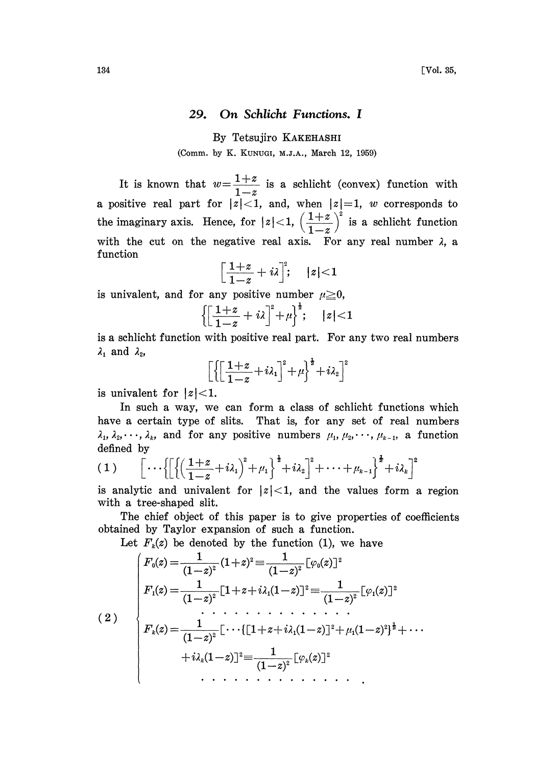## 29. On Schlicht Functions. <sup>I</sup>

By Tetsujiro KAKEHASHI

(Comm. by K. KUNUGI, M.J.A., March 12, 1959)

It is known that  $w = \frac{1+z}{1-z}$  is a schlicht (convex) function with a positive real part for  $|\tilde{z}| < 1$ , and, when  $|z|=1$ , w corresponds to the imaginary axis. Hence, for  $|z| < 1$ ,  $\left(\frac{1+z}{1-z}\right)^z$  is a schlicht function with the cut on the negative real axis. For any real number  $\lambda$ , a function

$$
\left[\frac{1+z}{1-z}+i\lambda\right]^2; \quad |z|<1
$$

is univalent, and for any positive number  $\mu \geq 0$ ,

$$
\left\{\left[\frac{1+z}{1-z}+i\lambda\right]^2+\mu\right\}^{\frac{1}{2}};\quad |z|<1
$$

is a schlicht function with positive real part. For any two real numbers  $\lambda_1$  and  $\lambda_2$ ,

$$
\left[\left\{\left[\frac{1+z}{1-z}+i\lambda_1\right]^2+\mu\right\}^{\frac{1}{2}}+i\lambda_2\right]^2
$$

is univalent for  $|z|$  < 1.

In such a way, we can form a class of schlicht functions which have a certain type of slits. That is, for any set of real numbers  $\lambda_1, \lambda_2, \dots, \lambda_k$ , and for any positive numbers  $\mu_1, \mu_2, \dots, \mu_{k-1}$ , a function defined by

$$
(1) \qquad \left[\cdots\left\{\left[\left\{\left(\frac{1+z}{1-z}+i\lambda_1\right)^2+\mu_1\right\}^{\frac{1}{2}}+i\lambda_2\right]^2+\cdots+\mu_{k-1}\right\}^{\frac{1}{2}}+i\lambda_k\right]^2
$$

is analytic and univalent for  $|z|<1$ , and the values form a region with a tree-shaped slit.

The chief object of this paper is to give properties of coefficients obtained by Taylor expansion of such a function.

Let  $F_k(z)$  be denoted by the function (1), we have

$$
(2) \quad \begin{cases} F_0(z)\!=\!\frac{1}{(1\!-\!z)^2}(1\!+\!z)^2\!\equiv\!\frac{1}{(1\!-\!z)^2}\big[\varphi_0(z)\big]^2 \\ F_1(z)\!=\!\frac{1}{(1\!-\!z)^2}\big[1\!+\!z\!+\!i\lambda_1(1\!-\!z)\big]^2\!\equiv\!\frac{1}{(1\!-\!z)^2}\big[\varphi_1(z)\big]^2 \\ \qquad \qquad \, \cdots \qquad \qquad \, \cdots \qquad \qquad \, \cdots \qquad \qquad \, \cdots \qquad \qquad \, \cdots \qquad \qquad \, \cdots \qquad \qquad \, \cdots \qquad \qquad \, \cdots \qquad \qquad \, \cdots \qquad \qquad \, \cdots \qquad \qquad \, \cdots \qquad \qquad \, \cdots \qquad \qquad \, \cdots \qquad \qquad \, \cdots \qquad \qquad \, \cdots \qquad \qquad \, \cdots \qquad \qquad \, \cdots \qquad \qquad \, \cdots \qquad \qquad \, \cdots \qquad \qquad \, \cdots \qquad \qquad \, \cdots \qquad \qquad \, \cdots \qquad \qquad \, \cdots \qquad \qquad \, \cdots \qquad \qquad \, \cdots \qquad \qquad \, \cdots \qquad \qquad \, \cdots \qquad \qquad \, \cdots \qquad \qquad \, \cdots \qquad \qquad \, \cdots \qquad \qquad \, \cdots \qquad \qquad \, \cdots \qquad \qquad \, \cdots \qquad \qquad \, \cdots \qquad \qquad \, \cdots \qquad \qquad \, \cdots \qquad \qquad \, \cdots \qquad \qquad \, \cdots \qquad \qquad \, \cdots \qquad \qquad \, \cdots \qquad \qquad \, \cdots \qquad \qquad \, \cdots \qquad \qquad \, \cdots \qquad \qquad \, \cdots \qquad \qquad \, \cdots \qquad \qquad \, \cdots \qquad \qquad \, \cdots \qquad \qquad \, \cdots \qquad \qquad \, \cdots \qquad \qquad \, \cdots \qquad \qquad \, \cdots \qquad \qquad \, \cdots \qquad \qquad \, \cdots \qquad \qquad \, \cdots \qquad \qquad \, \cdots \qquad
$$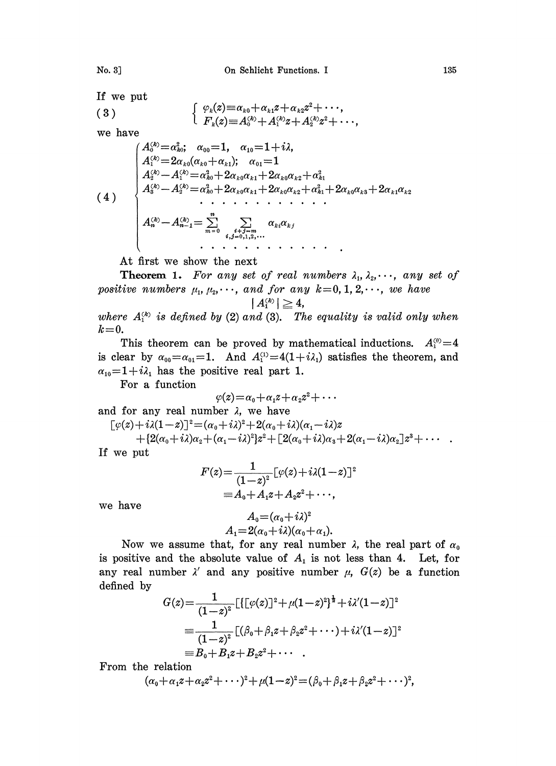If we put  
(3) 
$$
\left\{\begin{array}{c} \varphi_k \end{array}\right.
$$

3) 
$$
\begin{cases} \varphi_k(z) \equiv \alpha_{k0} + \alpha_{k1} z + \alpha_{k2} z^2 + \cdots, \\ F_k(z) \equiv A_0^{(k)} + A_1^{(k)} z + A_2^{(k)} z^2 + \cdots, \end{cases}
$$

we have

(4) A?=ao; aoo--1, ao--l-F-i2, A?--2ao(ao+a); ao=l ao+2aoa+2aoa A? A? ao+2aoa+2aoa+a+2aoa+2a A2--A 012,

At first we show the next

**Theorem 1.** For any set of real numbers  $\lambda_1, \lambda_2, \dots$ , any set of positive numbers  $\mu_1, \mu_2, \cdots$ , and for any  $k=0, 1, 2, \cdots$ , we have

$$
|A_1^{\scriptscriptstyle (k)}| \geqq 4,
$$

where  $A_i^{(k)}$  is defined by (2) and (3). The equality is valid only when  $k=0$ .

This theorem can be proved by mathematical inductions.  $A_1^{\text{(0)}}=4$ is clear by  $\alpha_{00} = \alpha_{01} = 1$ . And  $A_1^{(1)} = 4(1+i\lambda_1)$  satisfies the theorem, and  $\alpha_{10}=1+i\lambda_1$  has the positive real part 1.

For a function

$$
\varphi(z)\!=\!\alpha_0\!+\!\alpha_1 z\!+\!\alpha_2 z^2\!+\cdots
$$

and for any real number  $\lambda$ , we have

$$
[\varphi(z)+i\lambda(1-z)]^2 = (\alpha_0+i\lambda)^2 + 2(\alpha_0+i\lambda)(\alpha_1-i\lambda)z
$$
  
+{2(\alpha\_0+i\lambda)\alpha\_2+(\alpha\_1-i\lambda)^2}z^2 + [2(\alpha\_0+i\lambda)\alpha\_3+2(\alpha\_1-i\lambda)\alpha\_2]z^3 + \cdots

If we pu

$$
F(z) = \frac{1}{(1-z)^2} \left[\varphi(z) + i\lambda(1-z)\right]^2
$$
  
=  $A_0 + A_1 z + A_2 z^2 + \cdots$ ,

we have

$$
A_0 = (\alpha_0 + i\lambda)^2
$$
  

$$
A_1 = 2(\alpha_0 + i\lambda)(\alpha_0 + \alpha_1).
$$

Now we assume that, for any real number  $\lambda$ , the real part of  $\alpha_0$ is positive and the absolute value of  $A_1$  is not less than 4. Let, for any real number  $\lambda'$  and any positive number  $\mu$ ,  $G(z)$  be a function defined by

$$
G(z) = \frac{1}{(1-z)^2} \left[ \left\{ \left[ \varphi(z) \right]^2 + \mu (1-z)^2 \right\}^{\frac{1}{2}} + i \lambda' (1-z) \right]^2
$$
\n
$$
\equiv \frac{1}{(1-z)^2} \left[ (\beta_0 + \beta_1 z + \beta_2 z^2 + \cdots) + i \lambda' (1-z) \right]^2
$$
\n
$$
\equiv B_0 + B_1 z + B_2 z^2 + \cdots
$$

From the relation

e relation  

$$
(\alpha_0 + \alpha_1 z + \alpha_2 z^2 + \cdots)^2 + \mu (1-z)^2 = (\beta_0 + \beta_1 z + \beta_2 z^2 + \cdots)^2,
$$